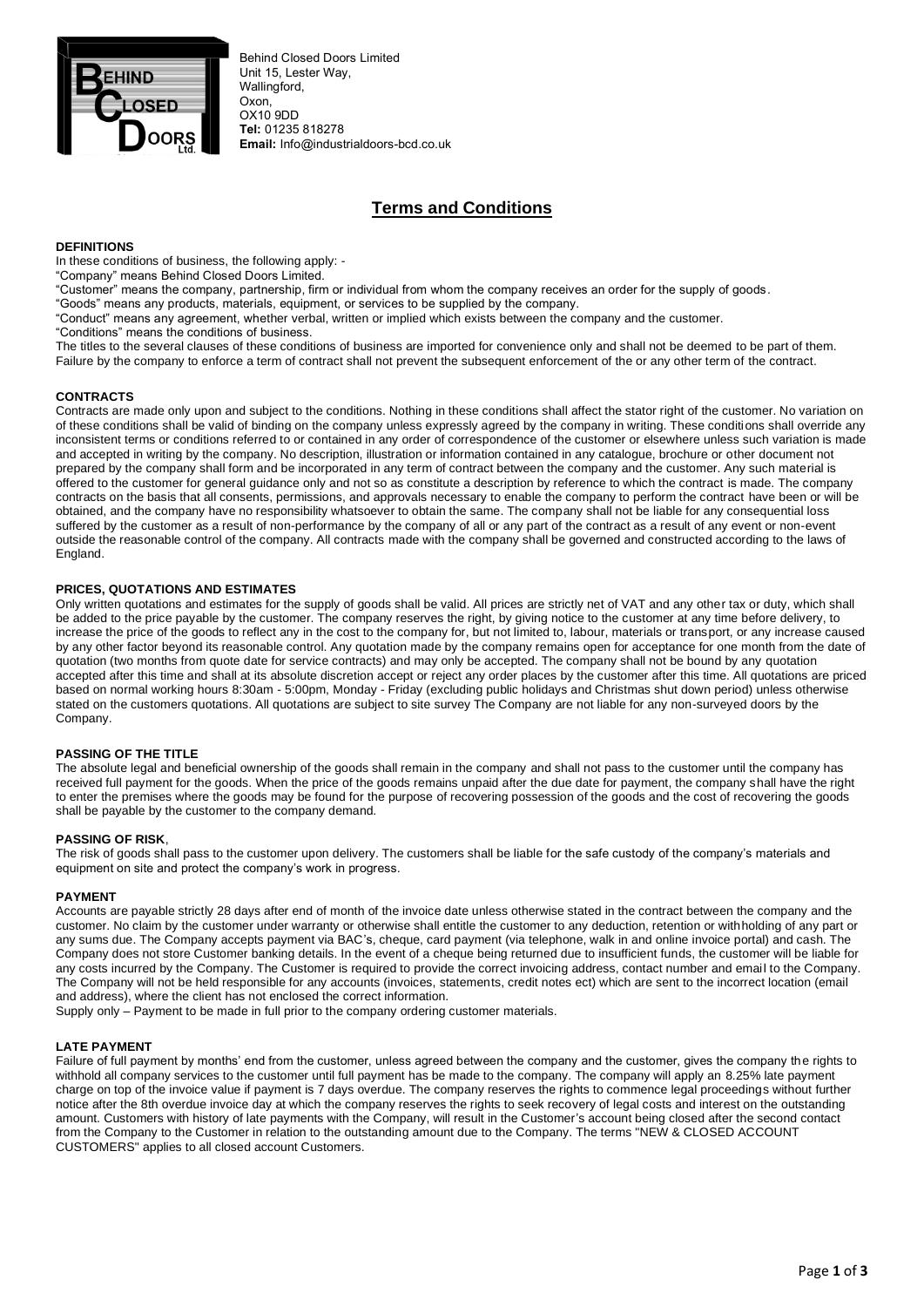

Behind Closed Doors Limited Unit 15, Lester Way, Wallingford. Oxon, OX10 9DD **Tel:** 01235 818278 **Email:** Info@industrialdoors-bcd.co.uk

# **Terms and Conditions**

## **DEFINITIONS**

In these conditions of business, the following apply: -

"Company" means Behind Closed Doors Limited.

"Customer" means the company, partnership, firm or individual from whom the company receives an order for the supply of goods.

"Goods" means any products, materials, equipment, or services to be supplied by the company.

"Conduct" means any agreement, whether verbal, written or implied which exists between the company and the customer.

"Conditions" means the conditions of business.

The titles to the several clauses of these conditions of business are imported for convenience only and shall not be deemed to be part of them. Failure by the company to enforce a term of contract shall not prevent the subsequent enforcement of the or any other term of the contract.

## **CONTRACTS**

Contracts are made only upon and subject to the conditions. Nothing in these conditions shall affect the stator right of the customer. No variation on of these conditions shall be valid of binding on the company unless expressly agreed by the company in writing. These conditions shall override any inconsistent terms or conditions referred to or contained in any order of correspondence of the customer or elsewhere unless such variation is made and accepted in writing by the company. No description, illustration or information contained in any catalogue, brochure or other document not prepared by the company shall form and be incorporated in any term of contract between the company and the customer. Any such material is offered to the customer for general guidance only and not so as constitute a description by reference to which the contract is made. The company contracts on the basis that all consents, permissions, and approvals necessary to enable the company to perform the contract have been or will be obtained, and the company have no responsibility whatsoever to obtain the same. The company shall not be liable for any consequential loss suffered by the customer as a result of non-performance by the company of all or any part of the contract as a result of any event or non-event outside the reasonable control of the company. All contracts made with the company shall be governed and constructed according to the laws of England.

## **PRICES, QUOTATIONS AND ESTIMATES**

Only written quotations and estimates for the supply of goods shall be valid. All prices are strictly net of VAT and any other tax or duty, which shall be added to the price payable by the customer. The company reserves the right, by giving notice to the customer at any time before delivery, to increase the price of the goods to reflect any in the cost to the company for, but not limited to, labour, materials or transport, or any increase caused by any other factor beyond its reasonable control. Any quotation made by the company remains open for acceptance for one month from the date of quotation (two months from quote date for service contracts) and may only be accepted. The company shall not be bound by any quotation accepted after this time and shall at its absolute discretion accept or reject any order places by the customer after this time. All quotations are priced based on normal working hours 8:30am - 5:00pm, Monday - Friday (excluding public holidays and Christmas shut down period) unless otherwise stated on the customers quotations. All quotations are subject to site survey The Company are not liable for any non-surveyed doors by the Company.

#### **PASSING OF THE TITLE**

The absolute legal and beneficial ownership of the goods shall remain in the company and shall not pass to the customer until the company has received full payment for the goods. When the price of the goods remains unpaid after the due date for payment, the company shall have the right to enter the premises where the goods may be found for the purpose of recovering possession of the goods and the cost of recovering the goods shall be payable by the customer to the company demand.

#### **PASSING OF RISK**,

The risk of goods shall pass to the customer upon delivery. The customers shall be liable for the safe custody of the company's materials and equipment on site and protect the company's work in progress.

#### **PAYMENT**

Accounts are payable strictly 28 days after end of month of the invoice date unless otherwise stated in the contract between the company and the customer. No claim by the customer under warranty or otherwise shall entitle the customer to any deduction, retention or withholding of any part or any sums due. The Company accepts payment via BAC's, cheque, card payment (via telephone, walk in and online invoice portal) and cash. The Company does not store Customer banking details. In the event of a cheque being returned due to insufficient funds, the customer will be liable for any costs incurred by the Company. The Customer is required to provide the correct invoicing address, contact number and emai l to the Company. The Company will not be held responsible for any accounts (invoices, statements, credit notes ect) which are sent to the incorrect location (email and address), where the client has not enclosed the correct information.

Supply only – Payment to be made in full prior to the company ordering customer materials.

## **LATE PAYMENT**

Failure of full payment by months' end from the customer, unless agreed between the company and the customer, gives the company the rights to withhold all company services to the customer until full payment has be made to the company. The company will apply an 8.25% late payment charge on top of the invoice value if payment is 7 days overdue. The company reserves the rights to commence legal proceedings without further notice after the 8th overdue invoice day at which the company reserves the rights to seek recovery of legal costs and interest on the outstanding amount. Customers with history of late payments with the Company, will result in the Customer's account being closed after the second contact from the Company to the Customer in relation to the outstanding amount due to the Company. The terms "NEW & CLOSED ACCOUNT CUSTOMERS" applies to all closed account Customers.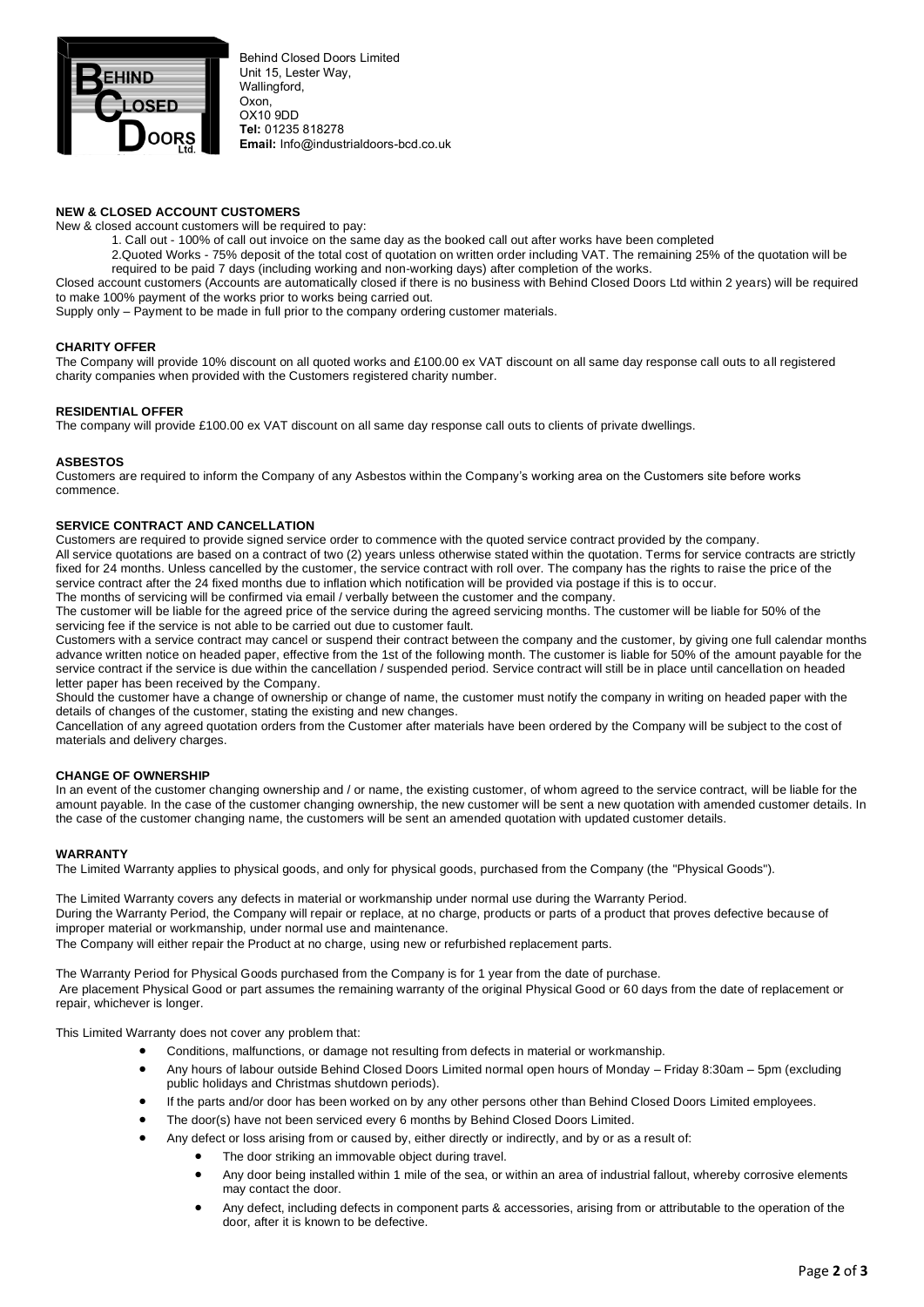

Behind Closed Doors Limited Unit 15, Lester Way, Wallingford. Oxon, OX10 9DD **Tel:** 01235 818278 **Email:** Info@industrialdoors-bcd.co.uk

## **NEW & CLOSED ACCOUNT CUSTOMERS**

New & closed account customers will be required to pay:

- 1. Call out 100% of call out invoice on the same day as the booked call out after works have been completed
- 2.Quoted Works 75% deposit of the total cost of quotation on written order including VAT. The remaining 25% of the quotation will be required to be paid 7 days (including working and non-working days) after completion of the works.

Closed account customers (Accounts are automatically closed if there is no business with Behind Closed Doors Ltd within 2 years) will be required to make 100% payment of the works prior to works being carried out.

Supply only – Payment to be made in full prior to the company ordering customer materials.

#### **CHARITY OFFER**

The Company will provide 10% discount on all quoted works and £100.00 ex VAT discount on all same day response call outs to all registered charity companies when provided with the Customers registered charity number.

#### **RESIDENTIAL OFFER**

The company will provide £100.00 ex VAT discount on all same day response call outs to clients of private dwellings.

#### **ASBESTOS**

Customers are required to inform the Company of any Asbestos within the Company's working area on the Customers site before works commence.

#### **SERVICE CONTRACT AND CANCELLATION**

Customers are required to provide signed service order to commence with the quoted service contract provided by the company. All service quotations are based on a contract of two (2) years unless otherwise stated within the quotation. Terms for service contracts are strictly fixed for 24 months. Unless cancelled by the customer, the service contract with roll over. The company has the rights to raise the price of the service contract after the 24 fixed months due to inflation which notification will be provided via postage if this is to occur.

The months of servicing will be confirmed via email / verbally between the customer and the company.

The customer will be liable for the agreed price of the service during the agreed servicing months. The customer will be liable for 50% of the servicing fee if the service is not able to be carried out due to customer fault.

Customers with a service contract may cancel or suspend their contract between the company and the customer, by giving one full calendar months advance written notice on headed paper, effective from the 1st of the following month. The customer is liable for 50% of the amount payable for the service contract if the service is due within the cancellation / suspended period. Service contract will still be in place until cancellation on headed letter paper has been received by the Company.

Should the customer have a change of ownership or change of name, the customer must notify the company in writing on headed paper with the details of changes of the customer, stating the existing and new changes.

Cancellation of any agreed quotation orders from the Customer after materials have been ordered by the Company will be subject to the cost of materials and delivery charges.

### **CHANGE OF OWNERSHIP**

In an event of the customer changing ownership and / or name, the existing customer, of whom agreed to the service contract, will be liable for the amount payable. In the case of the customer changing ownership, the new customer will be sent a new quotation with amended customer details. In the case of the customer changing name, the customers will be sent an amended quotation with updated customer details.

#### **WARRANTY**

The Limited Warranty applies to physical goods, and only for physical goods, purchased from the Company (the "Physical Goods").

The Limited Warranty covers any defects in material or workmanship under normal use during the Warranty Period. During the Warranty Period, the Company will repair or replace, at no charge, products or parts of a product that proves defective because of improper material or workmanship, under normal use and maintenance. The Company will either repair the Product at no charge, using new or refurbished replacement parts.

The Warranty Period for Physical Goods purchased from the Company is for 1 year from the date of purchase. Are placement Physical Good or part assumes the remaining warranty of the original Physical Good or 60 days from the date of replacement or repair, whichever is longer.

This Limited Warranty does not cover any problem that:

- Conditions, malfunctions, or damage not resulting from defects in material or workmanship.
- Any hours of labour outside Behind Closed Doors Limited normal open hours of Monday Friday 8:30am 5pm (excluding public holidays and Christmas shutdown periods).
- If the parts and/or door has been worked on by any other persons other than Behind Closed Doors Limited employees.
- The door(s) have not been serviced every 6 months by Behind Closed Doors Limited.
	- Any defect or loss arising from or caused by, either directly or indirectly, and by or as a result of:
		- The door striking an immovable object during travel.
			- Any door being installed within 1 mile of the sea, or within an area of industrial fallout, whereby corrosive elements may contact the door.
		- Any defect, including defects in component parts & accessories, arising from or attributable to the operation of the door, after it is known to be defective.